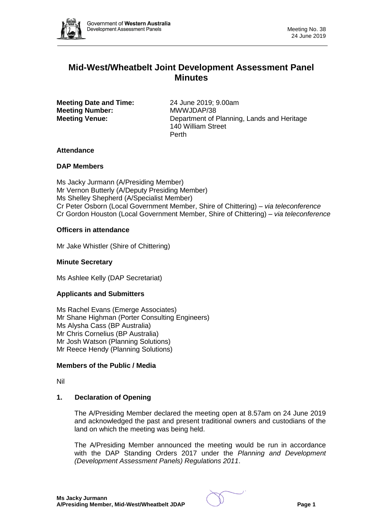

# **Mid-West/Wheatbelt Joint Development Assessment Panel Minutes**

**Meeting Date and Time:** 24 June 2019; 9.00am **Meeting Number:** MWWJDAP/38

**Meeting Venue:** Department of Planning, Lands and Heritage 140 William Street Perth

# **Attendance**

# **DAP Members**

Ms Jacky Jurmann (A/Presiding Member) Mr Vernon Butterly (A/Deputy Presiding Member) Ms Shelley Shepherd (A/Specialist Member) Cr Peter Osborn (Local Government Member, Shire of Chittering) – *via teleconference* Cr Gordon Houston (Local Government Member, Shire of Chittering) – *via teleconference*

# **Officers in attendance**

Mr Jake Whistler (Shire of Chittering)

## **Minute Secretary**

Ms Ashlee Kelly (DAP Secretariat)

# **Applicants and Submitters**

Ms Rachel Evans (Emerge Associates) Mr Shane Highman (Porter Consulting Engineers) Ms Alysha Cass (BP Australia) Mr Chris Cornelius (BP Australia) Mr Josh Watson (Planning Solutions) Mr Reece Hendy (Planning Solutions)

### **Members of the Public / Media**

Nil

### **1. Declaration of Opening**

The A/Presiding Member declared the meeting open at 8.57am on 24 June 2019 and acknowledged the past and present traditional owners and custodians of the land on which the meeting was being held.

The A/Presiding Member announced the meeting would be run in accordance with the DAP Standing Orders 2017 under the *Planning and Development (Development Assessment Panels) Regulations 2011*.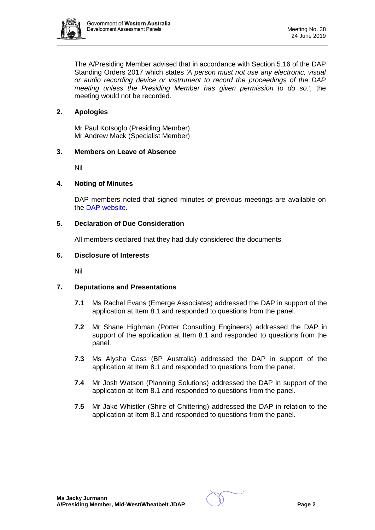

The A/Presiding Member advised that in accordance with Section 5.16 of the DAP Standing Orders 2017 which states *'A person must not use any electronic, visual or audio recording device or instrument to record the proceedings of the DAP meeting unless the Presiding Member has given permission to do so.',* the meeting would not be recorded.

### **2. Apologies**

Mr Paul Kotsoglo (Presiding Member) Mr Andrew Mack (Specialist Member)

#### **3. Members on Leave of Absence**

Nil

#### **4. Noting of Minutes**

DAP members noted that signed minutes of previous meetings are available on the [DAP website.](https://www.dplh.wa.gov.au/about/development-assessment-panels/daps-agendas-and-minutes)

### **5. Declaration of Due Consideration**

All members declared that they had duly considered the documents.

#### **6. Disclosure of Interests**

Nil

# **7. Deputations and Presentations**

- **7.1** Ms Rachel Evans (Emerge Associates) addressed the DAP in support of the application at Item 8.1 and responded to questions from the panel.
- **7.2** Mr Shane Highman (Porter Consulting Engineers) addressed the DAP in support of the application at Item 8.1 and responded to questions from the panel.
- **7.3** Ms Alysha Cass (BP Australia) addressed the DAP in support of the application at Item 8.1 and responded to questions from the panel.
- **7.4** Mr Josh Watson (Planning Solutions) addressed the DAP in support of the application at Item 8.1 and responded to questions from the panel.
- **7.5** Mr Jake Whistler (Shire of Chittering) addressed the DAP in relation to the application at Item 8.1 and responded to questions from the panel.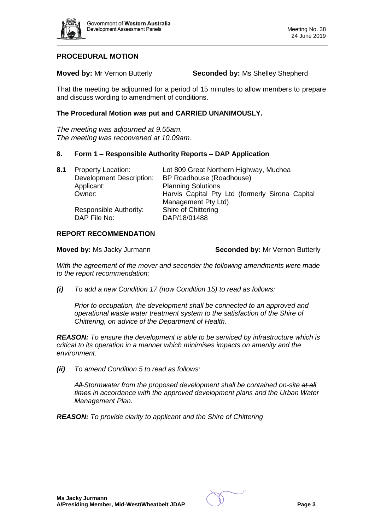

# **PROCEDURAL MOTION**

**Moved by:** Mr Vernon Butterly **Seconded by:** Ms Shelley Shepherd

That the meeting be adjourned for a period of 15 minutes to allow members to prepare and discuss wording to amendment of conditions.

### **The Procedural Motion was put and CARRIED UNANIMOUSLY.**

*The meeting was adjourned at 9.55am. The meeting was reconvened at 10.09am.* 

#### **8. Form 1 – Responsible Authority Reports – DAP Application**

| 8.1 | <b>Property Location:</b>       | Lot 809 Great Northern Highway, Muchea          |
|-----|---------------------------------|-------------------------------------------------|
|     | <b>Development Description:</b> | BP Roadhouse (Roadhouse)                        |
|     | Applicant:                      | <b>Planning Solutions</b>                       |
|     | Owner:                          | Harvis Capital Pty Ltd (formerly Sirona Capital |
|     |                                 | Management Pty Ltd)                             |
|     | Responsible Authority:          | Shire of Chittering                             |
|     | DAP File No:                    | DAP/18/01488                                    |

#### **REPORT RECOMMENDATION**

**Moved by:** Ms Jacky Jurmann **Seconded by:** Mr Vernon Butterly

*With the agreement of the mover and seconder the following amendments were made to the report recommendation;* 

*(i) To add a new Condition 17 (now Condition 15) to read as follows:*

*Prior to occupation, the development shall be connected to an approved and operational waste water treatment system to the satisfaction of the Shire of Chittering, on advice of the Department of Health.*

*REASON: To ensure the development is able to be serviced by infrastructure which is critical to its operation in a manner which minimises impacts on amenity and the environment.*

*(ii) To amend Condition 5 to read as follows:* 

*All Stormwater from the proposed development shall be contained on-site at all times in accordance with the approved development plans and the Urban Water Management Plan.* 

*REASON: To provide clarity to applicant and the Shire of Chittering*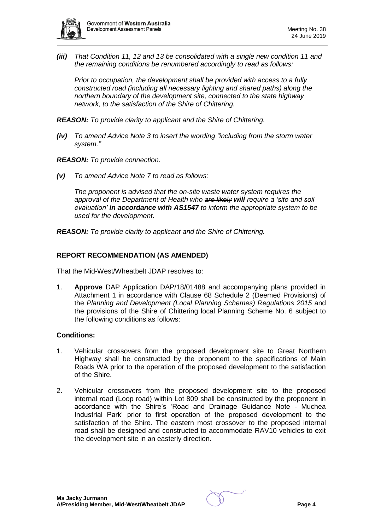

*(iii) That Condition 11, 12 and 13 be consolidated with a single new condition 11 and the remaining conditions be renumbered accordingly to read as follows:*

*Prior to occupation, the development shall be provided with access to a fully constructed road (including all necessary lighting and shared paths) along the northern boundary of the development site, connected to the state highway network, to the satisfaction of the Shire of Chittering.*

*REASON: To provide clarity to applicant and the Shire of Chittering.* 

*(iv) To amend Advice Note 3 to insert the wording "including from the storm water system."*

*REASON: To provide connection.*

*(v) To amend Advice Note 7 to read as follows:*

*The proponent is advised that the on-site waste water system requires the approval of the Department of Health who are likely will require a 'site and soil evaluation' in accordance with AS1547 to inform the appropriate system to be used for the development.* 

*REASON: To provide clarity to applicant and the Shire of Chittering.*

### **REPORT RECOMMENDATION (AS AMENDED)**

That the Mid-West/Wheatbelt JDAP resolves to:

1. **Approve** DAP Application DAP/18/01488 and accompanying plans provided in Attachment 1 in accordance with Clause 68 Schedule 2 (Deemed Provisions) of the *Planning and Development (Local Planning Schemes) Regulations 2015* and the provisions of the Shire of Chittering local Planning Scheme No. 6 subject to the following conditions as follows:

### **Conditions:**

- 1. Vehicular crossovers from the proposed development site to Great Northern Highway shall be constructed by the proponent to the specifications of Main Roads WA prior to the operation of the proposed development to the satisfaction of the Shire.
- 2. Vehicular crossovers from the proposed development site to the proposed internal road (Loop road) within Lot 809 shall be constructed by the proponent in accordance with the Shire's 'Road and Drainage Guidance Note - Muchea Industrial Park' prior to first operation of the proposed development to the satisfaction of the Shire. The eastern most crossover to the proposed internal road shall be designed and constructed to accommodate RAV10 vehicles to exit the development site in an easterly direction.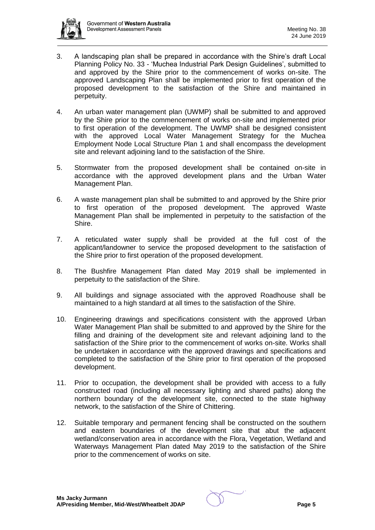

- 3. A landscaping plan shall be prepared in accordance with the Shire's draft Local Planning Policy No. 33 - 'Muchea Industrial Park Design Guidelines', submitted to and approved by the Shire prior to the commencement of works on-site. The approved Landscaping Plan shall be implemented prior to first operation of the proposed development to the satisfaction of the Shire and maintained in perpetuity.
- 4. An urban water management plan (UWMP) shall be submitted to and approved by the Shire prior to the commencement of works on-site and implemented prior to first operation of the development. The UWMP shall be designed consistent with the approved Local Water Management Strategy for the Muchea Employment Node Local Structure Plan 1 and shall encompass the development site and relevant adjoining land to the satisfaction of the Shire.
- 5. Stormwater from the proposed development shall be contained on-site in accordance with the approved development plans and the Urban Water Management Plan.
- 6. A waste management plan shall be submitted to and approved by the Shire prior to first operation of the proposed development. The approved Waste Management Plan shall be implemented in perpetuity to the satisfaction of the Shire.
- 7. A reticulated water supply shall be provided at the full cost of the applicant/landowner to service the proposed development to the satisfaction of the Shire prior to first operation of the proposed development.
- 8. The Bushfire Management Plan dated May 2019 shall be implemented in perpetuity to the satisfaction of the Shire.
- 9. All buildings and signage associated with the approved Roadhouse shall be maintained to a high standard at all times to the satisfaction of the Shire.
- 10. Engineering drawings and specifications consistent with the approved Urban Water Management Plan shall be submitted to and approved by the Shire for the filling and draining of the development site and relevant adjoining land to the satisfaction of the Shire prior to the commencement of works on-site. Works shall be undertaken in accordance with the approved drawings and specifications and completed to the satisfaction of the Shire prior to first operation of the proposed development.
- 11. Prior to occupation, the development shall be provided with access to a fully constructed road (including all necessary lighting and shared paths) along the northern boundary of the development site, connected to the state highway network, to the satisfaction of the Shire of Chittering.
- 12. Suitable temporary and permanent fencing shall be constructed on the southern and eastern boundaries of the development site that abut the adjacent wetland/conservation area in accordance with the Flora, Vegetation, Wetland and Waterways Management Plan dated May 2019 to the satisfaction of the Shire prior to the commencement of works on site.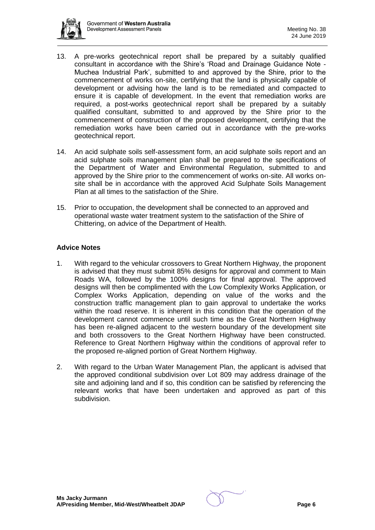

- 13. A pre-works geotechnical report shall be prepared by a suitably qualified consultant in accordance with the Shire's 'Road and Drainage Guidance Note - Muchea Industrial Park', submitted to and approved by the Shire, prior to the commencement of works on-site, certifying that the land is physically capable of development or advising how the land is to be remediated and compacted to ensure it is capable of development. In the event that remediation works are required, a post-works geotechnical report shall be prepared by a suitably qualified consultant, submitted to and approved by the Shire prior to the commencement of construction of the proposed development, certifying that the remediation works have been carried out in accordance with the pre-works geotechnical report.
- 14. An acid sulphate soils self-assessment form, an acid sulphate soils report and an acid sulphate soils management plan shall be prepared to the specifications of the Department of Water and Environmental Regulation, submitted to and approved by the Shire prior to the commencement of works on-site. All works onsite shall be in accordance with the approved Acid Sulphate Soils Management Plan at all times to the satisfaction of the Shire.
- 15. Prior to occupation, the development shall be connected to an approved and operational waste water treatment system to the satisfaction of the Shire of Chittering, on advice of the Department of Health.

# **Advice Notes**

- 1. With regard to the vehicular crossovers to Great Northern Highway, the proponent is advised that they must submit 85% designs for approval and comment to Main Roads WA, followed by the 100% designs for final approval. The approved designs will then be complimented with the Low Complexity Works Application, or Complex Works Application, depending on value of the works and the construction traffic management plan to gain approval to undertake the works within the road reserve. It is inherent in this condition that the operation of the development cannot commence until such time as the Great Northern Highway has been re-aligned adjacent to the western boundary of the development site and both crossovers to the Great Northern Highway have been constructed. Reference to Great Northern Highway within the conditions of approval refer to the proposed re-aligned portion of Great Northern Highway.
- 2. With regard to the Urban Water Management Plan, the applicant is advised that the approved conditional subdivision over Lot 809 may address drainage of the site and adjoining land and if so, this condition can be satisfied by referencing the relevant works that have been undertaken and approved as part of this subdivision.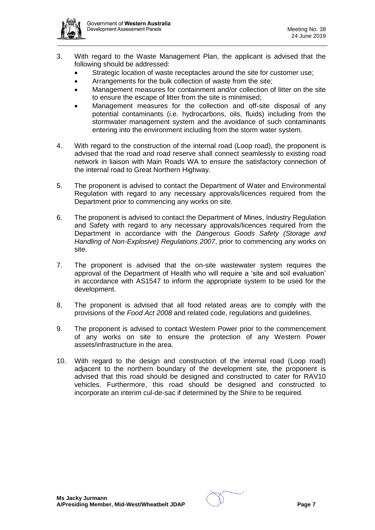- 3. With regard to the Waste Management Plan, the applicant is advised that the following should be addressed:
	- Strategic location of waste receptacles around the site for customer use:
	- Arrangements for the bulk collection of waste from the site;
	- Management measures for containment and/or collection of litter on the site to ensure the escape of litter from the site is minimised;
	- Management measures for the collection and off-site disposal of any potential contaminants (i.e. hydrocarbons, oils, fluids) including from the stormwater management system and the avoidance of such contaminants entering into the environment including from the storm water system.
- 4. With regard to the construction of the internal road (Loop road), the proponent is advised that the road and road reserve shall connect seamlessly to existing road network in liaison with Main Roads WA to ensure the satisfactory connection of the internal road to Great Northern Highway.
- 5. The proponent is advised to contact the Department of Water and Environmental Regulation with regard to any necessary approvals/licences required from the Department prior to commencing any works on site.
- 6. The proponent is advised to contact the Department of Mines, Industry Regulation and Safety with regard to any necessary approvals/licences required from the Department in accordance with the *Dangerous Goods Safety (Storage and Handling of Non-Explosive) Regulations 2007*, prior to commencing any works on site.
- 7. The proponent is advised that the on-site wastewater system requires the approval of the Department of Health who will require a 'site and soil evaluation' in accordance with AS1547 to inform the appropriate system to be used for the development.
- 8. The proponent is advised that all food related areas are to comply with the provisions of the *Food Act 2008* and related code, regulations and guidelines.
- 9. The proponent is advised to contact Western Power prior to the commencement of any works on site to ensure the protection of any Western Power assets/infrastructure in the area.
- 10. With regard to the design and construction of the internal road (Loop road) adjacent to the northern boundary of the development site, the proponent is advised that this road should be designed and constructed to cater for RAV10 vehicles. Furthermore, this road should be designed and constructed to incorporate an interim cul-de-sac if determined by the Shire to be required.